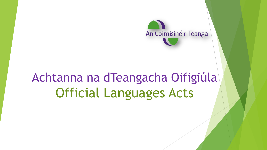

# Achtanna na dTeangacha Oifigiúla Official Languages Acts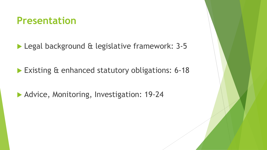### **Presentation**

Legal background & legislative framework: 3-5

**Existing & enhanced statutory obligations: 6-18** 

**Advice, Monitoring, Investigation: 19-24**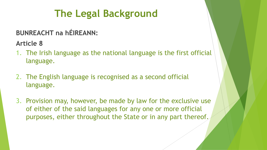## **The Legal Background**

### **BUNREACHT na hÉIREANN:**

**Article 8** 

- 1. The Irish language as the national language is the first official language.
- 2. The English language is recognised as a second official language.
- 3. Provision may, however, be made by law for the exclusive use of either of the said languages for any one or more official purposes, either throughout the State or in any part thereof.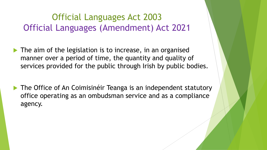### Official Languages Act 2003 Official Languages (Amendment) Act 2021

- $\blacktriangleright$  The aim of the legislation is to increase, in an organised manner over a period of time, the quantity and quality of services provided for the public through Irish by public bodies.
- ▶ The Office of An Coimisinéir Teanga is an independent statutory office operating as an ombudsman service and as a compliance agency.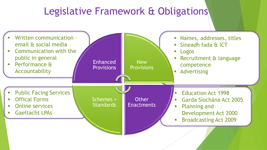## Legislative Framework & Obligations

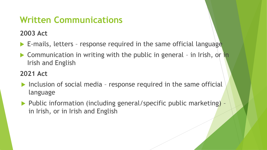### **Written Communications**

**2003 Act**

- E-mails, letters response required in the same official language
- ▶ Communication in writing with the public in general in Irish, or in Irish and English

### **2021 Act**

- $\blacktriangleright$  Inclusion of social media response required in the same official language
- $\blacktriangleright$  Public information (including general/specific public marketing) in Irish, or in Irish and English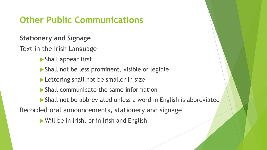### **Other Public Communications**

#### **Stationery and Signage**

Text in the Irish Language

- Shall appear first
- Shall not be less prominent, visible or legible
- Lettering shall not be smaller in size
- Shall communicate the same information
- Shall not be abbreviated unless a word in English is abbreviated

Recorded oral announcements, stationery and signage

Will be in Irish, or in Irish and English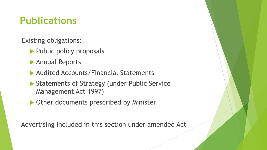## **Publications**

Existing obligations:

- ▶ Public policy proposals
- Annual Reports
- ▶ Audited Accounts/Financial Statements
- ▶ Statements of Strategy (under Public Service Management Act 1997)
- ▶ Other documents prescribed by Minister

Advertising included in this section under amended Act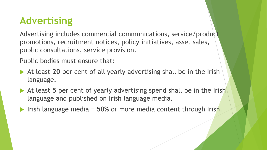## **Advertising**

Advertising includes commercial communications, service/product promotions, recruitment notices, policy initiatives, asset sales, public consultations, service provision.

Public bodies must ensure that:

- At least **20** per cent of all yearly advertising shall be in the Irish language.
- At least 5 per cent of yearly advertising spend shall be in the Irish language and published on Irish language media.
- Irish language media = **50%** or more media content through Irish.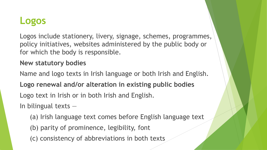### **Logos**

Logos include stationery, livery, signage, schemes, programmes, policy initiatives, websites administered by the public body or for which the body is responsible.

#### **New statutory bodies**

Name and logo texts in Irish language or both Irish and English. **Logo renewal and/or alteration in existing public bodies** Logo text in Irish or in both Irish and English. In bilingual texts —

- (a) Irish language text comes before English language text
- (b) parity of prominence, legibility, font
- (c) consistency of abbreviations in both texts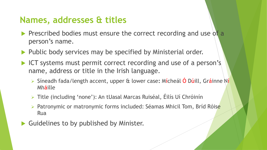### **Names, addresses & titles**

- Prescribed bodies must ensure the correct recording and use of a person's name.
- ▶ Public body services may be specified by Ministerial order.
- ICT systems must permit correct recording and use of a person's name, address or title in the Irish language.
	- ➢ Síneadh fada/length accent, upper & lower case**:** Mícheál Ó Dúill, Gráinne Ní Mháille
	- ➢ Title (including 'none'): An tUasal Marcas Ruiséal, Éilís Uí Chróinín
	- ➢ Patronymic or matronymic forms included: Séamas Mhicil Tom, Bríd Róise Rua
- Guidelines to by published by Minister.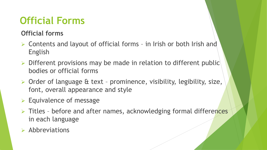## **Official Forms**

#### **Official forms**

- ➢ Contents and layout of official forms in Irish or both Irish and English
- ➢ Different provisions may be made in relation to different public bodies or official forms
- ➢ Order of language & text prominence, visibility, legibility, size, font, overall appearance and style
- ➢ Equivalence of message
- ➢ Titles before and after names, acknowledging formal differences in each language

### ➢ Abbreviations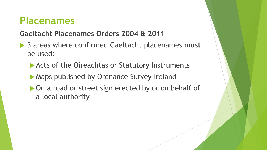### **Placenames**

### **Gaeltacht Placenames Orders 2004 & 2011**

- **▶ 3 areas where confirmed Gaeltacht placenames must** be used:
	- ▶ Acts of the Oireachtas or Statutory Instruments
	- **Maps published by Ordnance Survey Ireland**
	- ▶ On a road or street sign erected by or on behalf of a local authority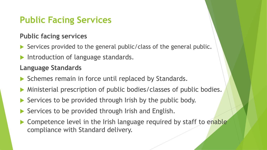### **Public Facing Services**

#### **Public facing services**

- Services provided to the general public/class of the general public.
- Introduction of language standards.

#### **Language Standards**

- Schemes remain in force until replaced by Standards.
- Ministerial prescription of public bodies/classes of public bodies.
- Services to be provided through Irish by the public body.
- Services to be provided through Irish and English.
- ▶ Competence level in the Irish language required by staff to enable compliance with Standard delivery.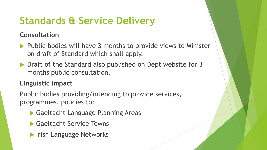## **Standards & Service Delivery**

**Consultation**

- $\blacktriangleright$  Public bodies will have 3 months to provide views to Minister on draft of Standard which shall apply.
- ▶ Draft of the Standard also published on Dept website for 3 months public consultation.

#### **Linguistic Impact**

Public bodies providing/intending to provide services, programmes, policies to:

- Gaeltacht Language Planning Areas
- ▶ Gaeltacht Service Towns
- **IFish Language Networks**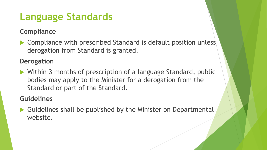## **Language Standards**

### **Compliance**

▶ Compliance with prescribed Standard is default position unless derogation from Standard is granted.

#### **Derogation**

▶ Within 3 months of prescription of a language Standard, public bodies may apply to the Minister for a derogation from the Standard or part of the Standard.

#### **Guidelines**

▶ Guidelines shall be published by the Minister on Departmental website.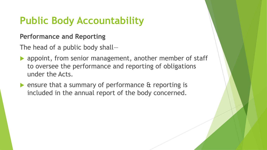## **Public Body Accountability**

#### **Performance and Reporting**

The head of a public body shall—

- **appoint, from senior management, another member of staff** to oversee the performance and reporting of obligations under the Acts.
- **Example 13 Fensure that a summary of performance & reporting is** included in the annual report of the body concerned.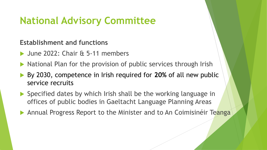## **National Advisory Committee**

**Establishment and functions**

- June 2022: Chair & 5-11 members
- $\blacktriangleright$  National Plan for the provision of public services through Irish
- By 2030, competence in Irish required for **20%** of all new public service recruits
- ▶ Specified dates by which Irish shall be the working language in offices of public bodies in Gaeltacht Language Planning Areas
- Annual Progress Report to the Minister and to An Coimisinéir Teanga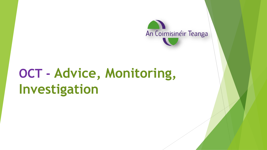

# **OCT - Advice, Monitoring, Investigation**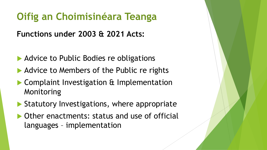## **Oifig an Choimisinéara Teanga**

**Functions under 2003 & 2021 Acts:**

- Advice to Public Bodies re obligations
- Advice to Members of the Public re rights
- **Complaint Investigation & Implementation** Monitoring
- Statutory Investigations, where appropriate
- ▶ Other enactments: status and use of official languages – implementation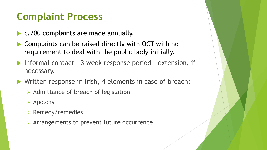## **Complaint Process**

- ▶ c.700 complaints are made annually.
- Complaints can be raised directly with OCT with no requirement to deal with the public body initially.
- ▶ Informal contact 3 week response period extension, if necessary.
- ▶ Written response in Irish, 4 elements in case of breach:
	- ➢ Admittance of breach of legislation
	- ➢ Apology
	- ➢ Remedy/remedies
	- ➢ Arrangements to prevent future occurrence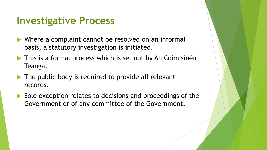### **Investigative Process**

- ▶ Where a complaint cannot be resolved on an informal basis, a statutory investigation is initiated.
- **This is a formal process which is set out by An Coimisinéir** Teanga.
- The public body is required to provide all relevant records.
- Sole exception relates to decisions and proceedings of the Government or of any committee of the Government.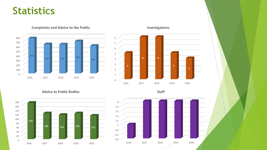### **Statistics**

**Complaints and Advice to the Public**





**Advice to Public Bodies**

**Staff**





**Investigations**